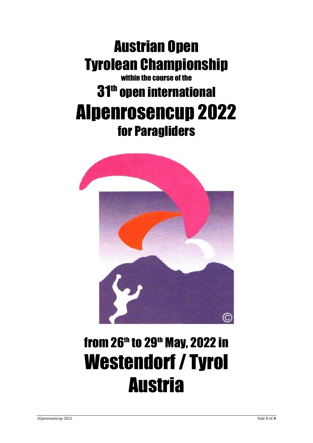### Austrian Open Tyrolean Championship within the course of the

## 31<sup>th</sup> open international Alpenrosencup 2022 for Paragliders



# from 26<sup>th</sup> to 29<sup>th</sup> May, 2022 in Westendorf / Tyrol **Austria**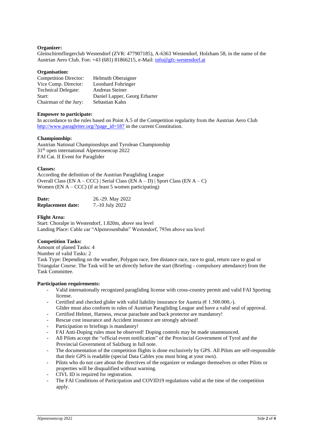#### **Organizer:**

Gleitschirmfliegerclub Westendorf (ZVR: 477907185), A-6363 Westendorf, Holzham 58, in the name of the Austrian Aero Club. Fon: +43 (681) 81866215, e-Mail: [info@gfc-westendorf.at](mailto:info@gfc-westendorf.at)

#### **Organisation:**

| <b>Competition Director:</b> | Helmuth Oberaigner            |
|------------------------------|-------------------------------|
| Vice Comp. Director:         | Leonhard Fohringer            |
| <b>Technical Delegate:</b>   | Andreas Steiner               |
| Start:                       | Daniel Lapper, Georg Erharter |
| Chairman of the Jury:        | Sebastian Kahn                |

#### **Empower to participate:**

In accordance to the rules based on Point A.5 of the Competition regularity from the Austrian Aero Club [http://www.paragleiter.org/?page\\_id=187](http://www.paragleiter.org/?page_id=187) in the current Constitution.

#### **Championship:**

Austrian National Championships and Tyrolean Championship 31<sup>th</sup> open international Alpenrosencup 2022 FAI Cat. II Event for Paraglider

#### **Classes:**

According the definition of the Austrian Paragliding League Overall Class (EN A – CCC) | Serial Class (EN A – D) | Sport Class (EN A – C) Women (EN  $A - CCC$ ) (if at least 5 women participating)

| Date:                    | 26.-29. May 2022 |
|--------------------------|------------------|
| <b>Replacement date:</b> | 7.-10 July 2022  |

#### **Flight Area:**

Start: Choralpe in Westendorf, 1.820m, above sea level Landing Place: Cable car "Alpenrosenbahn" Westendorf, 793m above sea level

#### **Competition Tasks:**

Amount of planed Tasks: 4 Number of valid Tasks: 2 Task Type: Depending on the weather, Polygon race, free distance race, race to goal, return race to goal or Triangular Course. The Task will be set directly before the start (Briefing - [compulsory](http://dict.leo.org/ende?lp=ende&p=thMx..&search=compulsory) [attendance\)](http://dict.leo.org/ende?lp=ende&p=thMx..&search=attendance) from the Task Committee.

#### **Participation requirements:**

- Valid internationally recognized paragliding license with cross-country permit and valid FAI Sporting license.
- Certified and checked glider with valid liability insurance for Austria ( $\epsilon$  1.500.000,-). Glider must also conform to rules of Austrian Paragliding League and have a valid seal of approval.
- Certified Helmet, Harness, rescue parachute and back protector are mandatory!
- Rescue cost insurance and Accident insurance are strongly advised!
- Participation to briefings is mandatory!
- FAI Anti-Doping rules must be observed! Doping controls may be made unannounced.
- All Pilots accept the "official event notification" of the Provincial Government of Tyrol and the Provincial Government of Salzburg in full note.
- The documentation of the competition flights is done exclusively by GPS. All Pilots are self-responsible that their GPS is readable (special Data Cables you must bring at your own).
- Pilots who do not care about the directives of the organizer or endanger themselves or other Pilots or properties will be disqualified without warning.
- CIVL ID is required for registration.
- The FAI Conditions of Participation and COVID19 regulations valid at the time of the competition apply.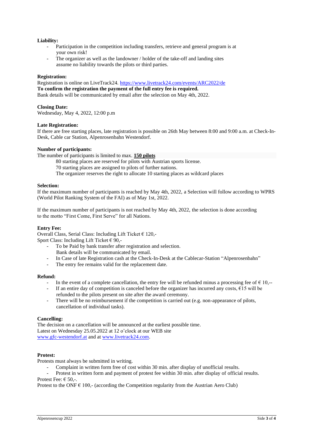#### **Liability:**

- Participation in the competition including transfers, retrieve and general program is at your own risk!
- The organizer as well as the landowner / holder of the take-off and landing sites assume no liability towards the pilots or third parties.

#### **Registration:**

Registration is online on LiveTrack24. <https://www.livetrack24.com/events/ARC2022/de> **To confirm the registration the payment of the full entry fee is required.** Bank details will be communicated by email after the selection on May 4th, 2022.

#### **Closing Date:**

Wednesday, May 4, 2022, 12:00 p.m

#### **Late Registration:**

If there are free starting places, late registration is possible on 26th May between 8:00 and 9:00 a.m. at Check-In-Desk, Cable car Station, Alpenrosenbahn Westendorf.

#### **Number of participants:**

The number of participants is limited to max. **150 pilots**

80 starting places are reserved for pilots with Austrian sports license.

70 starting places are assigned to pilots of further nations.

The organizer reserves the right to allocate 10 starting places as wildcard places

#### **Selection:**

If the maximum number of participants is reached by May 4th, 2022, a Selection will follow according to WPRS (World Pilot Ranking System of the FAI) as of May 1st, 2022.

If the maximum number of participants is not reached by May 4th, 2022, the selection is done according to the motto "First Come, First Serve" for all Nations.

#### **Entry Fee:**

Overall Class, Serial Class: Including Lift Ticket € 120,- Sport Class: Including Lift Ticket  $\in$  90.-

- To be Paid by bank transfer after registration and selection. Bank details will be communicated by email.
- In Case of late Registration cash at the Check-In-Desk at the Cablecar-Station "Alpenrosenbahn"
- The entry fee remains valid for the replacement date.

#### **Refund:**

- In the event of a complete cancellation, the entry fee will be refunded minus a processing fee of  $\epsilon$  10,--
- If an entire day of competition is canceled before the organizer has incurred any costs,  $\epsilon$ 15 will be refunded to the pilots present on site after the award ceremony.
- There will be no reimbursement if the competition is carried out (e.g. non-appearance of pilots, cancellation of individual tasks).

#### **Cancelling:**

The decision on a cancellation will be announced at the earliest possible time. Latest on Wednesday 25.05.2022 at 12 o'clock at our WEB site [www.gfc-westendorf.at](http://www.gfc-westendorf.at/) and a[t www.livetrack24.com.](http://www.livetrack24.com/)

#### **Protest:**

Protests must always be submitted in writing.

- Complaint in written form free of cost within 30 min. after display of unofficial results.

Protest in written form and payment of protest fee within 30 min. after display of official results. Protest Fee:  $\epsilon$  50.-.

Protest to the ONF  $\epsilon$  100,- (according the Conpetition regularity from the Austrian Aero Club)